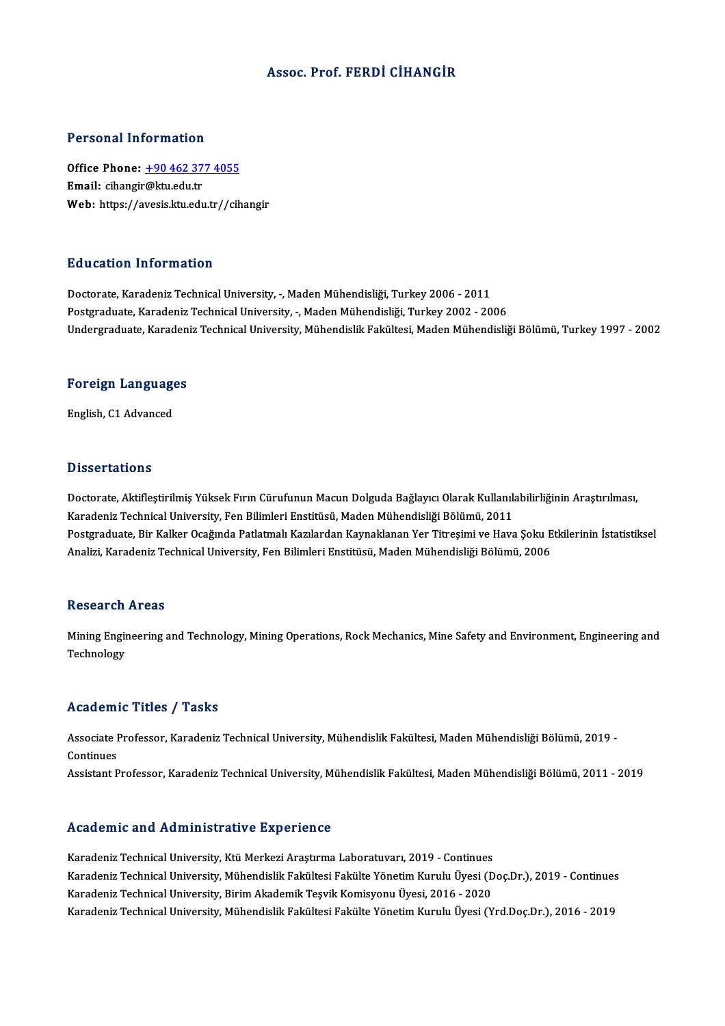### Assoc. Prof. FERDİ CİHANGİR

#### Personal Information

Personal Information<br>Office Phone: <u>+90 462 377 4055</u><br>Email: sibangir@ku edu tr 1 ST SOMAT THEST INCLUSIT<br>Office Phone: <u>+90 462 37</u><br>Email: cihangir@ktu.edu.tr Email: cihangir@ktu.edu.tr<br>Web: https://a[vesis.ktu.edu.tr//cih](tel:+90 462 377 4055)angir

#### Education Information

Doctorate, Karadeniz Technical University, -, Maden Mühendisliği, Turkey 2006 - 2011 Postgraduate, Karadeniz Technical University, -, Maden Mühendisliği, Turkey 2002 - 2006 Undergraduate, Karadeniz Technical University, Mühendislik Fakültesi, Maden Mühendisliği Bölümü, Turkey 1997 - 2002

# <sub>ondergraduate, Karaden</sub><br>Foreign Languages F<mark>oreign Languag</mark>e<br>English, C1 Advanced

English, C1 Advanced<br>Dissertations

Dissertations<br>Doctorate, Aktifleştirilmiş Yüksek Fırın Cürufunun Macun Dolguda Bağlayıcı Olarak Kullanılabilirliğinin Araştırılması,<br>Karadoniz Technical University, Fen Bilimleri Enstitüsü, Maden Mühendisliği Bölümü, 2011. Bassea tatrome<br>Doctorate, Aktifleştirilmiş Yüksek Fırın Cürufunun Macun Dolguda Bağlayıcı Olarak Kullanıl:<br>Karadeniz Technical University, Fen Bilimleri Enstitüsü, Maden Mühendisliği Bölümü, 2011<br>Postaraduata Bir Kalkar Os Doctorate, Aktifleştirilmiş Yüksek Fırın Cürufunun Macun Dolguda Bağlayıcı Olarak Kullanılabilirliğinin Araştırılması,<br>Karadeniz Technical University, Fen Bilimleri Enstitüsü, Maden Mühendisliği Bölümü, 2011<br>Postgraduate, Karadeniz Technical University, Fen Bilimleri Enstitüsü, Maden Mühendisliği Bölümü, 2011<br>Postgraduate, Bir Kalker Ocağında Patlatmalı Kazılardan Kaynaklanan Yer Titreşimi ve Hava Şoku Etkilerinin İstatistiksel<br>Analizi, Kar

#### **Research Areas**

Research Areas<br>Mining Engineering and Technology, Mining Operations, Rock Mechanics, Mine Safety and Environment, Engineering and<br>Technology Mining Engin<br>Technology Technology<br>Academic Titles / Tasks

**Academic Titles / Tasks**<br>Associate Professor, Karadeniz Technical University, Mühendislik Fakültesi, Maden Mühendisliği Bölümü, 2019 -<br>Continues Associate I<br>Continues<br>Assistant B Continues<br>Assistant Professor, Karadeniz Technical University, Mühendislik Fakültesi, Maden Mühendisliği Bölümü, 2011 - 2019

#### Academic and Administrative Experience

Karadeniz Technical University, Ktü Merkezi Araştırma Laboratuvarı, 2019 - Continues Karadeniz Technical University, Mühendislik Fakültesi Fakülte Yönetim Kurulu Üyesi (Doç.Dr.), 2019 - Continues Karadeniz Technical University, Birim Akademik Teşvik Komisyonu Üyesi, 2016 - 2020 Karadeniz Technical University, Mühendislik Fakültesi Fakülte Yönetim Kurulu Üyesi (Yrd.Doç.Dr.), 2016 - 2019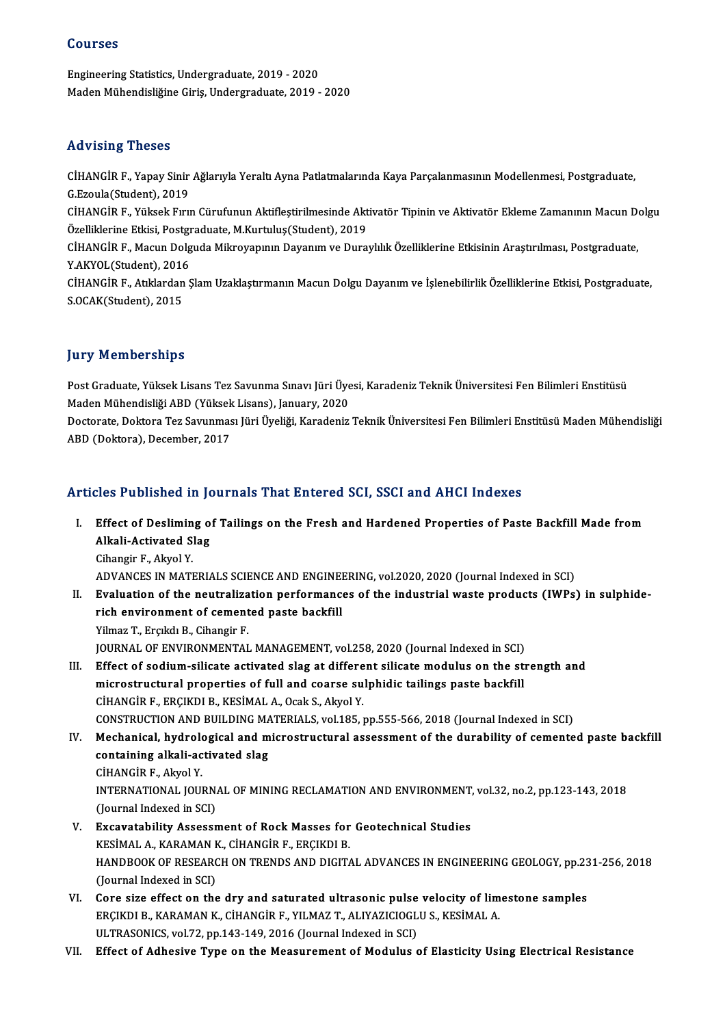### Courses

Engineering Statistics,Undergraduate,2019 -2020 Maden Mühendisliğine Giriş, Undergraduate, 2019 - 2020

### Advising Theses

**Advising Theses**<br>CİHANGİR F., Yapay Sinir Ağlarıyla Yeraltı Ayna Patlatmalarında Kaya Parçalanmasının Modellenmesi, Postgraduate,<br>C. Fravla(Student), 2019 CHANGIR F., Yapay Sinir<br>G.Ezoula(Student), 2019<br>CHANGIR E. Vülrek Evry CİHANGİR F., Yapay Sinir Ağlarıyla Yeraltı Ayna Patlatmalarında Kaya Parçalanmasının Modellenmesi, Postgraduate,<br>G.Ezoula(Student), 2019<br>CİHANGİR F., Yüksek Fırın Cürufunun Aktifleştirilmesinde Aktivatör Tipinin ve Aktivat G.Ezoula(Student), 2019<br>CİHANGİR F., Yüksek Fırın Cürufunun Aktifleştirilmesinde Akt<br>Özelliklerine Etkisi, Postgraduate, M.Kurtuluş(Student), 2019<br>CİHANÇİR E. Magun Dolauda Milməyanının Dayanım və Duna CİHANGİR F., Yüksek Fırın Cürufunun Aktifleştirilmesinde Aktivatör Tipinin ve Aktivatör Ekleme Zamanının Macun D<br>Özelliklerine Etkisi, Postgraduate, M.Kurtuluş(Student), 2019<br>CİHANGİR F., Macun Dolguda Mikroyapının Dayanım Özelliklerine Etkisi, Postgr<br>CİHANGİR F., Macun Dolg<br>Y.AKYOL(Student), 2016<br>CİHANGİR E. Atıldardan S CİHANGİR F., Macun Dolguda Mikroyapının Dayanım ve Duraylılık Özelliklerine Etkisinin Araştırılması, Postgraduate,<br>Y.AKYOL(Student), 2016<br>CİHANGİR F., Atıklardan Şlam Uzaklaştırmanın Macun Dolgu Dayanım ve İşlenebilirlik Ö Y.AKYOL(Student), 2016<br>CİHANGİR F., Atıklardan Şlam Uzaklaştırmanın Macun Dolgu Dayanım ve İşlenebilirlik Özelliklerine Etkisi, Postgraduate,<br>S.OCAK(Student), 2015

### **Jury Memberships**

**Jury Memberships**<br>Post Graduate, Yüksek Lisans Tez Savunma Sınavı Jüri Üyesi, Karadeniz Teknik Üniversitesi Fen Bilimleri Enstitüsü<br>Madan Mühandisliği APD (Yüksek Lisans), January 2020 yary "Attinburumpu"<br>Post Graduate, Yüksek Lisans Tez Savunma Sınavı Jüri Üye<br>Maden Mühendisliği ABD (Yüksek Lisans), January, 2020<br>Posterate, Doktora Tez Sayunması Jüri Üyeliği, Karadaniz Post Graduate, Yüksek Lisans Tez Savunma Sınavı Jüri Üyesi, Karadeniz Teknik Üniversitesi Fen Bilimleri Enstitüsü<br>Maden Mühendisliği ABD (Yüksek Lisans), January, 2020<br>Doctorate, Doktora Tez Savunması Jüri Üyeliği, Karaden

Maden Mühendisliği ABD (Yüksek<br>Doctorate, Doktora Tez Savunmas<br>ABD (Doktora), December, 2017

# ABD (Doktora), December, 2017<br>Articles Published in Journals That Entered SCI, SSCI and AHCI Indexes

- rticles Published in Journals That Entered SCI, SSCI and AHCI Indexes<br>I. Effect of Desliming of Tailings on the Fresh and Hardened Properties of Paste Backfill Made from<br>Alkeli Astivated Slag Altes Alexander III<br>Effect of Desliming of<br>Alkali-Activated Slag<br>Cibongin E Alguel V Effect of Deslimin<br>Alkali-Activated S<br>Cihangir F., Akyol Y.<br>ADVANGES IN MATI Alkali-Activated Slag<br>Cihangir F., Akyol Y.<br>ADVANCES IN MATERIALS SCIENCE AND ENGINEERING, vol.2020, 2020 (Journal Indexed in SCI)<br>Evaluation of the noutralization performances of the industrial wests products (JWDs)
- Cihangir F., Akyol Y.<br>ADVANCES IN MATERIALS SCIENCE AND ENGINEERING, vol.2020, 2020 (Journal Indexed in SCI)<br>II. Evaluation of the neutralization performances of the industrial waste products (IWPs) in sulphide-<br>rich envir ADVANCES IN MATERIALS SCIENCE AND ENGINE<br>Evaluation of the neutralization performance<br>rich environment of cemented paste backfill<br>Vilmez T. English P. Cihangin F. Yilmaz T., Erçıkdı B., Cihangir F. rich environment of cemented paste backfill<br>Yilmaz T., Erçıkdı B., Cihangir F.<br>JOURNAL OF ENVIRONMENTAL MANAGEMENT, vol.258, 2020 (Journal Indexed in SCI)<br>Effect of sodium silicate astivated slag at different silicate modu Yilmaz T., Erçıkdı B., Cihangir F.<br>JOURNAL OF ENVIRONMENTAL MANAGEMENT, vol.258, 2020 (Journal Indexed in SCI)<br>III. Effect of sodium-silicate activated slag at different silicate modulus on the strength and<br>migrostructural
- JOURNAL OF ENVIRONMENTAL MANAGEMENT, vol.258, 2020 (Journal Indexed in SCI)<br>Effect of sodium-silicate activated slag at different silicate modulus on the st<br>microstructural properties of full and coarse sulphidic tailings Effect of sodium-silicate activated slag at differe<br>microstructural properties of full and coarse su<br>CİHANGİR F., ERÇIKDI B., KESİMAL A., Ocak S., Akyol Y.<br>CONSTRUCTION AND RUU DINC MATERIALS. vol.195 microstructural properties of full and coarse sulphidic tailings paste backfill<br>CİHANGİR F., ERÇIKDI B., KESİMAL A., Ocak S., Akyol Y.<br>CONSTRUCTION AND BUILDING MATERIALS, vol.185, pp.555-566, 2018 (Journal Indexed in SCI)
- CİHANGİR F., ERÇIKDI B., KESİMAL A., Ocak S., Akyol Y.<br>CONSTRUCTION AND BUILDING MATERIALS, vol.185, pp.555-566, 2018 (Journal Indexed in SCI)<br>IV. Mechanical, hydrological and microstructural assessment of the durability o CONSTRUCTION AND BUILDING MA<br>Mechanical, hydrological and m<br>containing alkali-activated slag<br>CUANCIB E Almol V Mechanical, hydrolo<br>containing alkali-ac<br>CİHANGİR F., Akyol Y.<br>INTERNATIONAL IOU! containing alkali-activated slag<br>CİHANGİR F., Akyol Y.<br>INTERNATIONAL JOURNAL OF MINING RECLAMATION AND ENVIRONMENT, vol.32, no.2, pp.123-143, 2018<br>(Jaunnal Indoved in SCI) CİHANGİR F., Akyol Y.<br>INTERNATIONAL JOURN.<br>(Journal Indexed in SCI)<br>Excavatability. Assass INTERNATIONAL JOURNAL OF MINING RECLAMATION AND ENVIRONMENT,<br>(Journal Indexed in SCI)<br>V. Excavatability Assessment of Rock Masses for Geotechnical Studies<br>VESIMAL A. VARAMAN V. CHANCIB E. ERCIVELE
- (Journal Indexed in SCI)<br>Excavatability Assessment of Rock Masses for<br>KESİMAL A., KARAMAN K., CİHANGİR F., ERÇIKDI B.<br>HANDROOK OE RESEARCH ON TRENDS AND DICIT. HANDBOOK OF RESEARCH ON TRENDS AND DIGITAL ADVANCES IN ENGINEERING GEOLOGY, pp.231-256, 2018<br>(Journal Indexed in SCI) KESİMAL A., KARAMAN K., CİHANGİR F., ERÇIKDI B. HANDBOOK OF RESEARCH ON TRENDS AND DIGITAL ADVANCES IN ENGINEERING GEOLOGY, pp.23<br>(Journal Indexed in SCI)<br>VI. Core size effect on the dry and saturated ultrasonic pulse velocity of limestone samples<br>EDCIVDLE VARAMAN K, CH
- (Journal Indexed in SCI)<br>Core size effect on the dry and saturated ultrasonic pulse velocity of lim<br>ERÇIKDI B., KARAMAN K., CİHANGİR F., YILMAZ T., ALIYAZICIOGLU S., KESİMAL A.<br>ULTRASONICS. vel 72. pp.142.149.2016 (Journal Core size effect on the dry and saturated ultrasonic pulse<br>ERÇIKDI B., KARAMAN K., CİHANGİR F., YILMAZ T., ALIYAZICIOGL<br>ULTRASONICS, vol.72, pp.143-149, 2016 (Journal Indexed in SCI)<br>Effect of Adhesiye Type on the Measurem ERÇIKDI B., KARAMAN K., CİHANGİR F., YILMAZ T., ALIYAZICIOGLU S., KESİMAL A.<br>ULTRASONICS, vol.72, pp.143-149, 2016 (Journal Indexed in SCI)<br>VII. Effect of Adhesive Type on the Measurement of Modulus of Elasticity Using
-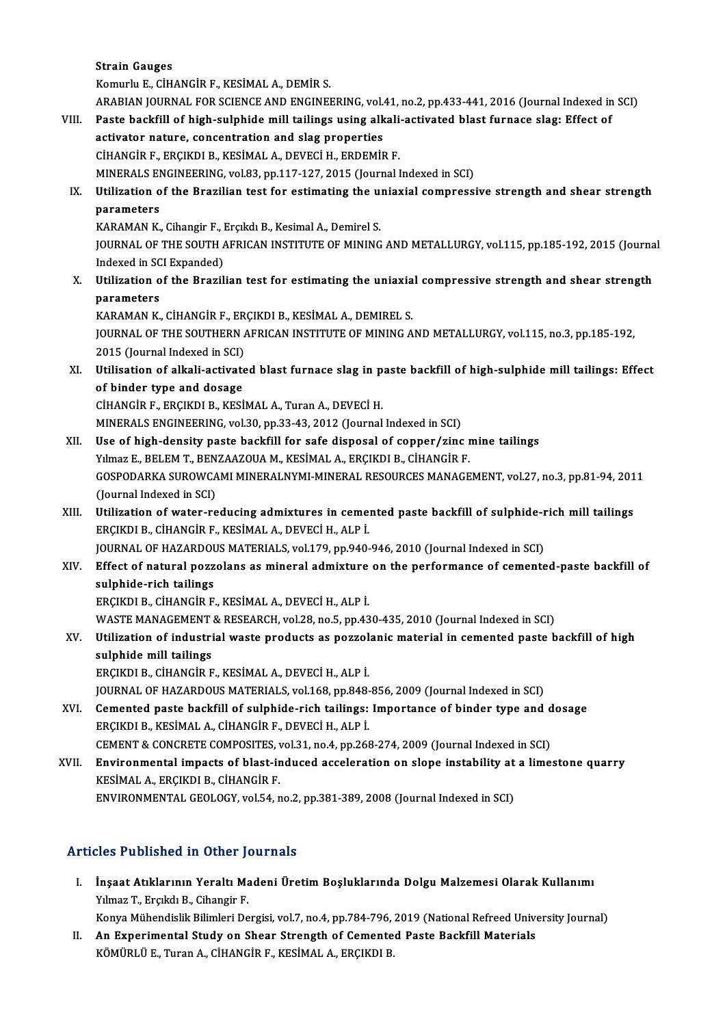Strain Gauges

KomurluE.,CİHANGİRF.,KESİMALA.,DEMİRS.

Strain Gauges<br>Komurlu E., CİHANGİR F., KESİMAL A., DEMİR S.<br>ARABIAN JOURNAL FOR SCIENCE AND ENGINEERING, vol.41, no.2, pp.433-441, 2016 (Journal Indexed in SCI)<br>Peste baskfill of bish sulphide mill tailings using alkali as

- VIII. Paste backfill of high-sulphide mill tailings using alkali-activated blast furnace slag: Effect of activator nature, concentration and slag properties ARABIAN JOURNAL FOR SCIENCE AND ENGINEERING, vol.<br>Paste backfill of high-sulphide mill tailings using alk<br>activator nature, concentration and slag properties<br>CUANCIP E. ERCIKDLE, KESIMAL A. DEVECLU, ERDEMIE CİHANGİRF.,ERÇIKDIB.,KESİMALA.,DEVECİH.,ERDEMİRF. activator nature, concentration and slag properties<br>CİHANGİR F., ERÇIKDI B., KESİMAL A., DEVECİ H., ERDEMİR F.<br>MINERALS ENGINEERING, vol.83, pp.117-127, 2015 (Journal Indexed in SCI)<br>Htilization of the Pragilian test for e CIHANGIR F., ERÇIKDI B., KESIMAL A., DEVECI H., ERDEMIR F.<br>MINERALS ENGINEERING, vol.83, pp.117-127, 2015 (Journal Indexed in SCI)<br>IX. Utilization of the Brazilian test for estimating the uniaxial compressive strength and
	- MINERALS EN<br>Utilization o<br>parameters<br>KARAMAN K Utilization of the Brazilian test for estimating the us<br>parameters<br>KARAMAN K., Cihangir F., Erçıkdı B., Kesimal A., Demirel S.<br>JOUPMAL OF THE SOUTH AERICAN INSTITUTE OF MINING

KARAMAN K., Cihangir F., Erçıkdı B., Kesimal A., Demirel S.

parameters<br>KARAMAN K., Cihangir F., Erçıkdı B., Kesimal A., Demirel S.<br>JOURNAL OF THE SOUTH AFRICAN INSTITUTE OF MINING AND METALLURGY, vol.115, pp.185-192, 2015 (Journal<br>Indexed in SCI Expanded) JOURNAL OF THE SOUTH AFRICAN INSTITUTE OF MINING AND METALLURGY, vol.115, pp.185-192, 2015 (Journa<br>Indexed in SCI Expanded)<br>X. Utilization of the Brazilian test for estimating the uniaxial compressive strength and shear st

Indexed in SC<br>Utilization o<br>parameters<br>KARAMAN K Utilization of the Brazilian test for estimating the uniaxia<br>parameters<br>KARAMAN K., CİHANGİR F., ERÇIKDI B., KESİMAL A., DEMIREL S.<br>JOUPMAL OF THE SOUTHERN AERICAN INSTITUTE OF MINING A

parameters<br>KARAMAN K., CİHANGİR F., ERÇIKDI B., KESİMAL A., DEMIREL S.<br>JOURNAL OF THE SOUTHERN AFRICAN INSTITUTE OF MINING AND METALLURGY, vol.115, no.3, pp.185-192,<br>2015 (Journal Indoved in SCL) KARAMAN K., CİHANGİR F., ER<br>JOURNAL OF THE SOUTHERN *I*<br>2015 (Journal Indexed in SCI)<br>Hillisation of alkali astivate JOURNAL OF THE SOUTHERN AFRICAN INSTITUTE OF MINING AND METALLURGY, vol.115, no.3, pp.185-192,<br>2015 (Journal Indexed in SCI)<br>XI. Utilisation of alkali-activated blast furnace slag in paste backfill of high-sulphide mill ta

2015 (Journal Indexed in SCI)<br>Utilisation of alkali-activate<br>of binder type and dosage<br>CULANCID E, ERCIVOLE, KESI Utilisation of alkali-activated blast furnace slag in p<br>of binder type and dosage<br>CİHANGİR F., ERÇIKDI B., KESİMAL A., Turan A., DEVECİ H.<br>MINERALS ENGINEERING .vol 30 nn 33 43 3013 (Journal

of binder type and dosage<br>CİHANGİR F., ERÇIKDI B., KESİMAL A., Turan A., DEVECİ H.<br>MINERALS ENGINEERING, vol.30, pp.33-43, 2012 (Journal Indexed in SCI)

- CIHANGIR F., ERÇIKDI B., KESIMAL A., Turan A., DEVECI H.<br>MINERALS ENGINEERING, vol.30, pp.33-43, 2012 (Journal Indexed in SCI)<br>XII. Use of high-density paste backfill for safe disposal of copper/zinc mine tailings<br>Vilmar E MINERALS ENGINEERING, vol.30, pp.33-43, 2012 (Journal Indexed in SCI)<br>Use of high-density paste backfill for safe disposal of copper/zinc r<br>Yılmaz E., BELEM T., BENZAAZOUA M., KESİMAL A., ERÇIKDI B., CİHANGİR F.<br>COSPODARKA GOSPODARKA SUROWCAMI MINERALNYMI-MINERAL RESOURCES MANAGEMENT, vol.27, no.3, pp.81-94, 2011<br>(Journal Indexed in SCI) Yılmaz E., BELEM T., BENZAAZOUA M., KESİMAL A., ERÇIKDI B., CİHANGİR F. GOSPODARKA SUROWCAMI MINERALNYMI-MINERAL RESOURCES MANAGEMENT, vol.27, no.3, pp.81-94, 201<br>(Journal Indexed in SCI)<br>XIII. Utilization of water-reducing admixtures in cemented paste backfill of sulphide-rich mill tailings<br>E
- (Journal Indexed in SCI)<br>Utilization of water-reducing admixtures in ceme:<br>ERÇIKDI B., CİHANGİR F., KESİMAL A., DEVECİ H., ALP İ.<br>JOUPNAL OF HAZAPDOUS MATERIALS, vol 179. pp 940. Utilization of water-reducing admixtures in cemented paste backfill of sulphide-r<br>ERÇIKDI B., CİHANGİR F., KESİMAL A., DEVECİ H., ALP İ.<br>JOURNAL OF HAZARDOUS MATERIALS, vol.179, pp.940-946, 2010 (Journal Indexed in SCI)<br>Ef ERÇIKDI B., CİHANGİR F., KESİMAL A., DEVECİ H., ALP İ.<br>JOURNAL OF HAZARDOUS MATERIALS, vol.179, pp.940-946, 2010 (Journal Indexed in SCI)<br>XIV. Effect of natural pozzolans as mineral admixture on the performance of ceme
- **JOURNAL OF HAZARDOU<br>Effect of natural pozz<br>sulphide-rich tailings<br>ERCIVDLE CULANCID E** Effect of natural pozzolans as mineral admixture<br>sulphide-rich tailings<br>ERÇIKDI B., CİHANGİR F., KESİMAL A., DEVECİ H., ALP İ.<br>WASTE MANACEMENT & RESEARCH. vol 29. no 5. nn 42 sulphide-rich tailings<br>ERÇIKDI B., CİHANGİR F., KESİMAL A., DEVECİ H., ALP İ.<br>WASTE MANAGEMENT & RESEARCH, vol.28, no.5, pp.430-435, 2010 (Journal Indexed in SCI)<br>Htilization of industrial waste produsta as pozzelanis mate

ERÇIKDI B., CİHANGİR F., KESİMAL A., DEVECİ H., ALP İ.<br>WASTE MANAGEMENT & RESEARCH, vol.28, no.5, pp.430-435, 2010 (Journal Indexed in SCI)<br>XV. Utilization of industrial waste products as pozzolanic material in cemented pa WASTE MANAGEMENT<br>Utilization of industri<br>sulphide mill tailings<br>ERCIVDLE CUANCIPE

ERÇIKDIB.,CİHANGİRF.,KESİMALA.,DEVECİH.,ALPİ.

JOURNAL OF HAZARDOUS MATERIALS, vol.168, pp.848-856, 2009 (Journal Indexed in SCI)

- ERÇIKDI B., CİHANGİR F., KESİMAL A., DEVECİ H., ALP İ.<br>JOURNAL OF HAZARDOUS MATERIALS, vol.168, pp.848-856, 2009 (Journal Indexed in SCI)<br>XVI. Cemented paste backfill of sulphide-rich tailings: Importance of binder type an ERÇIKDI B., KESİMAL A., CİHANGİR F., DEVECİ H., ALP İ.<br>CEMENT & CONCRETE COMPOSITES, vol.31, no.4, pp.268-274, 2009 (Journal Indexed in SCI) Cemented paste backfill of sulphide-rich tailings: Importance of binder type and d<br>ERÇIKDI B., KESİMAL A., CİHANGİR F., DEVECİ H., ALP İ.<br>CEMENT & CONCRETE COMPOSITES, vol.31, no.4, pp.268-274, 2009 (Journal Indexed in SCI
- XVII. Environmental impacts of blast-induced acceleration on slope instability at a limestone quarry KESİMALA.,ERÇIKDIB.,CİHANGİRF. ENVIRONMENTAL GEOLOGY, vol.54, no.2, pp.381-389, 2008 (Journal Indexed in SCI)

## Articles Published in Other Journals

rticles Published in Other Journals<br>I. İnşaat Atıklarının Yeraltı Madeni Üretim Boşluklarında Dolgu Malzemesi Olarak Kullanımı<br>Xılmaz T. Engildi B. Sibangir E Yılmaz T., Erçıkdı B., Cihangir F.<br>Yılmaz T., Erçıkdı B., Cihangir F.<br>Yanva Mühandialik Bilimleri Da Yılmaz T., Erçıkdı B., Cihangir F.<br>Konya Mühendislik Bilimleri Dergisi, vol.7, no.4, pp.784-796, 2019 (National Refreed University Journal)

Yılmaz T., Erçıkdı B., Cihangir F.<br>Konya Mühendislik Bilimleri Dergisi, vol.7, no.4, pp.784-796, 2019 (National Refreed Unive<br>II. An Experimental Study on Shear Strength of Cemented Paste Backfill Materials<br>ERCIED B Konya Mühendislik Bilimleri Dergisi, vol.7, no.4, pp.784-796,<br><mark>An Experimental Study on Shear Strength of Cemente</mark><br>KÖMÜRLÜ E., Turan A., CİHANGİR F., KESİMAL A., ERÇIKDI B.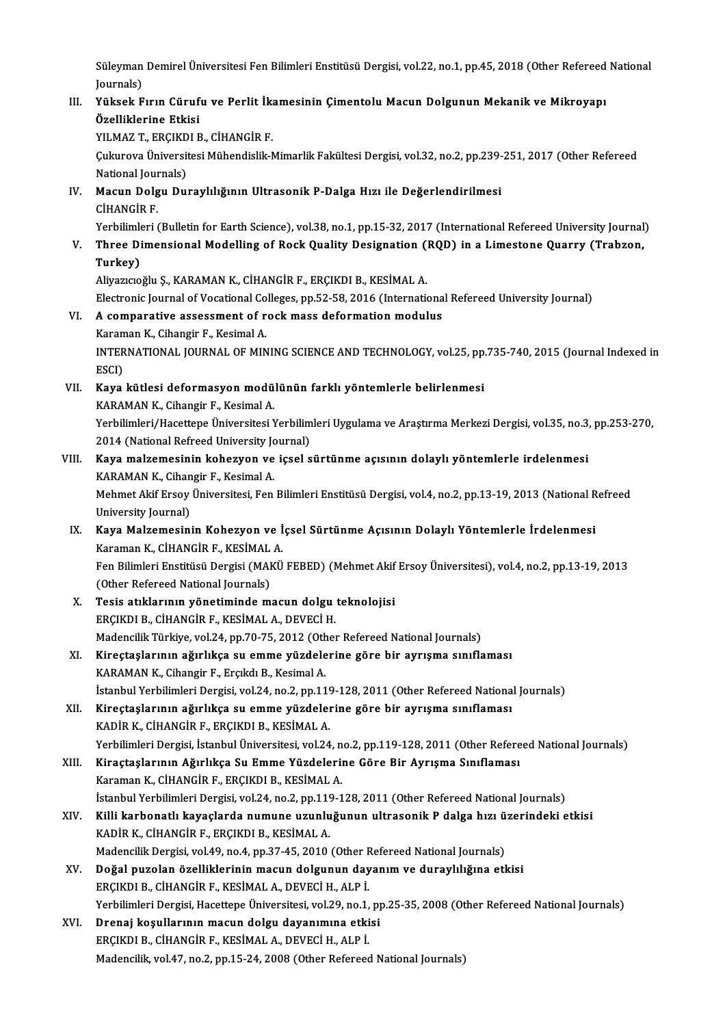Süleyman Demirel Üniversitesi Fen Bilimleri Enstitüsü Dergisi, vol.22, no.1, pp.45, 2018 (Other Refereed National<br>Journale) Süleyman<br>Journals)<br>Vülseek E Süleyman Demirel Üniversitesi Fen Bilimleri Enstitüsü Dergisi, vol.22, no.1, pp.45, 2018 (Other Refereed<br>Journals)<br>III. Yüksek Fırın Cürufu ve Perlit İkamesinin Çimentolu Macun Dolgunun Mekanik ve Mikroyapı<br>Örelliklerine E

## Journals)<br>Yüksek Fırın Cüruf<br>Özelliklerine Etkisi<br><sup>VII MAZ T. ERCIKDI E</sup> Yüksek Fırın Cürufu ve Perlit İk:<br>Özelliklerine Etkisi<br>YILMAZ T., ERÇIKDI B., CİHANGİR F.<br>Culareva Üniversitesi Mühandislik M YILMAZ T., ERÇIKDI B., CİHANGİR F.

Özelliklerine Etkisi<br>YILMAZ T., ERÇIKDI B., CİHANGİR F.<br>Çukurova Üniversitesi Mühendislik-Mimarlik Fakültesi Dergisi, vol.32, no.2, pp.239-251, 2017 (Other Refereed<br>National Journals) Cukurova Üniversitesi Mühendislik-Mimarlik Fakültesi Dergisi, vol.32, no.2, pp.239-<br>National Journals)<br>IV. Macun Dolgu Duraylılığının Ultrasonik P-Dalga Hızı ile Değerlendirilmesi<br>Ciyançip F

National Jour<br>**Macun Dolg<br>CİHANGİR F.**<br>Verbilimleri ( Macun Dolgu Duraylılığının Ultrasonik P-Dalga Hızı ile Değerlendirilmesi<br>CİHANGİR F.<br>Yerbilimleri (Bulletin for Earth Science), vol.38, no.1, pp.15-32, 2017 (International Refereed University Journal)<br>Three Dimensional Mod CİHANGİR F.<br>Yerbilimleri (Bulletin for Earth Science), vol.38, no.1, pp.15-32, 2017 (International Refereed University Journal<br>V. Three Dimensional Modelling of Rock Quality Designation (RQD) in a Limestone Quarry (Trab

**Yerbilimle**<br>Three Di<br>Turkey) Three Dimensional Modelling of Rock Quality Designation (<br>Turkey)<br>Aliyazıcıoğlu Ş., KARAMAN K., CİHANGİR F., ERÇIKDI B., KESİMAL A.<br>Electronis Journal of Vesational Colleges an 52,58,2016 (Internati

Turkey)<br>Aliyazıcıoğlu Ş., KARAMAN K., CİHANGİR F., ERÇIKDI B., KESİMAL A.<br>Electronic Journal of Vocational Colleges, pp.52-58, 2016 (International Refereed University Journal)<br>A semperative assessment of reek mass defermat

## Aliyazıcıoğlu Ş., KARAMAN K., CİHANGİR F., ERÇIKDI B., KESİMAL A.<br>Electronic Journal of Vocational Colleges, pp.52-58, 2016 (Internationa<br>VI. A comparative assessment of rock mass deformation modulus<br>Karaman K. Gibangin E. Electronic Journal of Vocational Co<br>A comparative assessment of r<br>Karaman K., Cihangir F., Kesimal A.<br>INTERNATIONAL JOURNAL OF MIN VI. A comparative assessment of rock mass deformation modulus<br>Karaman K., Cihangir F., Kesimal A.<br>INTERNATIONAL JOURNAL OF MINING SCIENCE AND TECHNOLOGY, vol.25, pp.735-740, 2015 (Journal Indexed in<br>ESCI) Karaman K., Cihangir F., Kesimal A. INTERNATIONAL JOURNAL OF MINING SCIENCE AND TECHNOLOGY, vol.25, pp.<br>ESCI)<br>VII. Kaya kütlesi deformasyon modülünün farklı yöntemlerle belirlenmesi<br>KARAMAN K. Gibangir E. Kesimal A

ESCI)<br>Kaya kütlesi deformasyon modü<br>KARAMAN K., Cihangir F., Kesimal A.<br>Yenbilimleri (Hasattana Üniversitesi ) Kaya kütlesi deformasyon modülünün farklı yöntemlerle belirlenmesi<br>KARAMAN K., Cihangir F., Kesimal A.<br>Yerbilimleri/Hacettepe Üniversitesi Yerbilimleri Uygulama ve Araştırma Merkezi Dergisi, vol.35, no.3, pp.253-270,<br>2014 KARAMAN K., Cihangir F., Kesimal A.<br>Yerbilimleri/Hacettepe Üniversitesi Yerbilim<br>2014 (National Refreed University Journal)<br>Kaya malzamasinin kahazyan ya issal s

## Yerbilimleri/Hacettepe Üniversitesi Yerbilimleri Uygulama ve Araştırma Merkezi Dergisi, vol.35, no.3,<br>2014 (National Refreed University Journal)<br>VIII. Kaya malzemesinin kohezyon ve içsel sürtünme açısının dolaylı yöntemler 2014 (National Refreed University Jones And Marked University Jones And Marked Ward<br>KARAMAN K., Cihangir F., Kesimal A.<br>Mehmet Akif Ersou Üniversitesi, Fen KARAMAN K., Cihangir F., Kesimal A.

Mehmet Akif Ersoy Üniversitesi, Fen Bilimleri Enstitüsü Dergisi, vol.4, no.2, pp.13-19, 2013 (National Refreed<br>University Journal) Mehmet Akif Ersoy Üniversitesi, Fen Bilimleri Enstitüsü Dergisi, vol.4, no.2, pp.13-19, 2013 (National R<br>University Journal)<br>IX. Kaya Malzemesinin Kohezyon ve İçsel Sürtünme Açısının Dolaylı Yöntemlerle İrdelenmesi<br>Karaman

# University Journal)<br><mark>Kaya Malzemesinin Kohezyon ve İ</mark><br>Karaman K., CİHANGİR F., KESİMAL A.<br>Fen Bilimleri Enstitüsü Dergisi (MAKÜ Kaya Malzemesinin Kohezyon ve İçsel Sürtünme Açısının Dolaylı Yöntemlerle İrdelenmesi<br>Karaman K., CİHANGİR F., KESİMAL A.<br>Fen Bilimleri Enstitüsü Dergisi (MAKÜ FEBED) (Mehmet Akif Ersoy Üniversitesi), vol.4, no.2, pp.13-19

Karaman K., CİHANGİR F., KESİMAL<br>Fen Bilimleri Enstitüsü Dergisi (MAK<br>(Other Refereed National Journals)<br>Tesis atıklarının vönetiminde m Fen Bilimleri Enstitüsü Dergisi (MAKÜ FEBED) (Mehmet Akif<br>(Other Refereed National Journals)<br>X. Tesis atıklarının yönetiminde macun dolgu teknolojisi<br>ERCIVDI B. CİHANCİB E. VESİMAL A. DEVECİ H

(Other Refereed National Journals)<br>Tesis atıklarının yönetiminde macun dolgu teknolojisi<br>ERÇIKDI B., CİHANGİR F., KESİMAL A., DEVECİ H. Madencilik Türkiye, vol.24, pp.70-75, 2012 (Other Refereed National Journals)

## XI. Kireçtaşlarının ağırlıkça su emme yüzdelerine göre bir ayrışma sınıflaması KARAMAN K., Cihangir F., Erçıkdı B., Kesimal A. İstanbul Yerbilimleri Dergisi, vol.24, no.2, pp.119-128, 2011 (Other Refereed National Journals)

- XII. Kireçtaşlarının ağırlıkça su emme yüzdelerine göre bir ayrışma sınıflaması KADİR K., CİHANGİR F., ERÇIKDI B., KESİMAL A. Yerbilimleri Dergisi, İstanbul Üniversitesi, vol.24, no.2, pp.119-128, 2011 (Other Refereed National Journals)
- XIII. Kiraçtaşlarının Ağırlıkça Su Emme Yüzdelerine Göre Bir Ayrışma Sınıflaması Karaman K., CİHANGİR F., ERÇIKDI B., KESİMAL A. Kiraçtaşlarının Ağırlıkça Su Emme Yüzdelerine Göre Bir Ayrışma Sınıflaması<br>Karaman K., CİHANGİR F., ERÇIKDI B., KESİMAL A.<br>İstanbul Yerbilimleri Dergisi, vol.24, no.2, pp.119-128, 2011 (Other Refereed National Journals)<br>Ki Karaman K., CİHANGİR F., ERÇIKDI B., KESİMAL A.<br>İstanbul Yerbilimleri Dergisi, vol.24, no.2, pp.119-128, 2011 (Other Refereed National Journals)<br>XIV. Killi karbonatlı kayaçlarda numune uzunluğunun ultrasonik P dalga hı
- İstanbul Yerbilimleri Dergisi, vol.24, no.2, pp.119<br>Killi karbonatlı kayaçlarda numune uzunlu<br>KADİR K., CİHANGİR F., ERÇIKDI B., KESİMAL A.<br>Madanailik Dergisi, vol.49, no.4, np.37,45,2010. Killi karbonatlı kayaçlarda numune uzunluğunun ultrasonik P dalga hızı ü<br>KADİR K., CİHANGİR F., ERÇIKDI B., KESİMAL A.<br>Madencilik Dergisi, vol.49, no.4, pp.37-45, 2010 (Other Refereed National Journals)<br>Doğal nuzalan özell KADİR K., CİHANGİR F., ERÇIKDI B., KESİMAL A.<br>Madencilik Dergisi, vol.49, no.4, pp.37-45, 2010 (Other Refereed National Journals)<br>XV. Doğal puzolan özelliklerinin macun dolgunun dayanım ve duraylılığına etkisi
- ERÇIKDIB.,CİHANGİRF.,KESİMALA.,DEVECİH.,ALPİ. Doğal puzolan özelliklerinin macun dolgunun dayanım ve duraylılığına etkisi<br>ERÇIKDI B., CİHANGİR F., KESİMAL A., DEVECİ H., ALP İ.<br>Yerbilimleri Dergisi, Hacettepe Üniversitesi, vol.29, no.1, pp.25-35, 2008 (Other Refereed ERÇIKDI B., CİHANGİR F., KESİMAL A., DEVECİ H., ALP İ.<br>Yerbilimleri Dergisi, Hacettepe Üniversitesi, vol.29, no.1, p<br>XVI. Drenaj koşullarının macun dolgu dayanımına etkisi

## Yerbilimleri Dergisi, Hacettepe Üniversitesi, vol.29, no.1,<br>Drenaj koşullarının macun dolgu dayanımına etki<br>ERÇIKDI B., CİHANGİR F., KESİMAL A., DEVECİ H., ALP İ.<br>Madanailik vol.47, no.2, nn.15,24,2008 (Othar Rafarece Drenaj koşullarının macun dolgu dayanımına etkisi<br>ERÇIKDI B., CİHANGİR F., KESİMAL A., DEVECİ H., ALP İ.<br>Madencilik, vol.47, no.2, pp.15-24, 2008 (Other Refereed National Journals)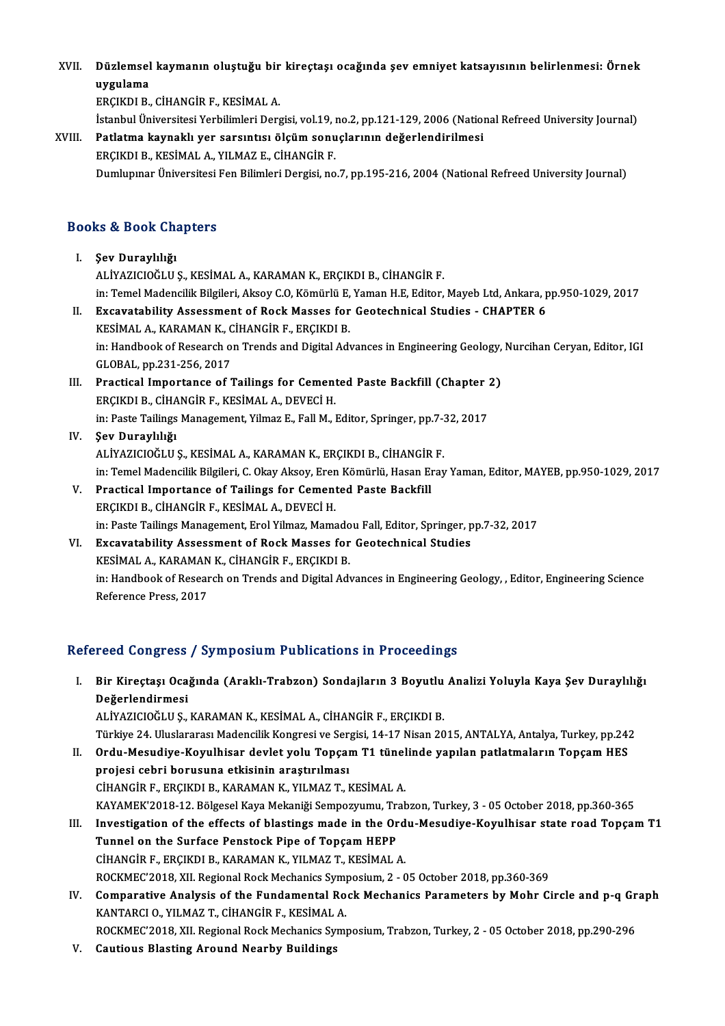XVI . Düzlemsel kaymanın oluştuğu bir kireçtaşı ocağında şev emniyet katsayısının belirlenmesi: Örnek Düzlemsel<br>uygulama<br>ERCIKDI B uygulama<br>ERCIKDI B., CİHANGİR F., KESİMAL A.

İstanbul Üniversitesi Yerbilimleri Dergisi, vol.19, no.2, pp.121-129, 2006 (National Refreed University Journal)

XVIII. Patlatma kaynaklı yer sarsıntısı ölçüm sonuçlarının değerlendirilmesi ERÇIKDIB.,KESİMALA.,YILMAZ E.,CİHANGİRF. Dumlupınar Üniversitesi Fen Bilimleri Dergisi, no.7, pp.195-216, 2004 (National Refreed University Journal)

## Books&Book Chapters

- I. Şev Duraylılığı ALİYAZICIOĞLU Ş., KESİMAL A., KARAMAN K., ERÇIKDI B., CİHANGİR F. Şev Duraylılığı<br>ALİYAZICIOĞLU Ş., KESİMAL A., KARAMAN K., ERÇIKDI B., CİHANGİR F.<br>in: Temel Madencilik Bilgileri, Aksoy C.O, Kömürlü E, Yaman H.E, Editor, Mayeb Ltd, Ankara, pp.950-1029, 2017<br>Evgayıstability, Assassmant of II. Excavatability Assessment of Rock Masses for Geotechnical Studies - CHAPTER 6<br>KESIMAL A., KARAMAN K., CIHANGIR F., ERCIKDI B. in: Temel Madencilik Bilgileri, Aksoy C.O, Kömürlü E,<br>**Excavatability Assessment of Rock Masses for**<br>KESİMAL A., KARAMAN K., CİHANGİR F., ERÇIKDI B.<br>in: Handbook of Besesush en Trands and Digital Ad: Excavatability Assessment of Rock Masses for Geotechnical Studies - CHAPTER 6<br>KESİMAL A., KARAMAN K., CİHANGİR F., ERÇIKDI B.<br>in: Handbook of Research on Trends and Digital Advances in Engineering Geology, Nurcihan Ceryan, KESİMAL A., KARAMAN K., C<br>in: Handbook of Research o<br>GLOBAL, pp.231-256, 2017<br>Prestisal Impertance of 1 In: Handbook of Research on Trends and Digital Advances in Engineering Geology,<br>GLOBAL, pp.231-256, 2017<br>III. Practical Importance of Tailings for Cemented Paste Backfill (Chapter 2) GLOBAL, pp.231-256, 2017<br>III. Practical Importance of Tailings for Cemented Paste Backfill (Chapter 2)<br>ERÇIKDI B., CİHANGİR F., KESİMAL A., DEVECİ H. in: Paste Tailings Management, Yilmaz E., Fall M., Editor, Springer, pp.7-32, 2017 IV. Şev Duraylılığı
- ALİYAZICIOĞLUŞ.,KESİMALA.,KARAMANK.,ERÇIKDIB.,CİHANGİRF. in: Temel Madencilik Bilgileri, C. Okay Aksoy, Eren Kömürlü, Hasan Eray Yaman, Editor, MAYEB, pp.950-1029, 2017 ALİYAZICIOĞLU Ş., KESİMAL A., KARAMAN K., ERÇIKDI B., CİHANGİR<br>in: Temel Madencilik Bilgileri, C. Okay Aksoy, Eren Kömürlü, Hasan E<br>V. Practical Importance of Tailings for Cemented Paste Backfill<br>ERCIKDI B. CİHANCİB E. KES
- in: Temel Madencilik Bilgileri, C. Okay Aksoy, Eren<br>Practical Importance of Tailings for Cement<br>ERÇIKDI B., CİHANGİR F., KESİMAL A., DEVECİ H.<br>in: Beste Tailings Manasament, Erel Yilmaz, Mama Practical Importance of Tailings for Cemented Paste Backfill<br>ERÇIKDI B., CİHANGİR F., KESİMAL A., DEVECİ H.<br>in: Paste Tailings Management, Erol Yilmaz, Mamadou Fall, Editor, Springer, pp.7-32, 2017<br>Executability Assessment ERÇIKDI B., CİHANGİR F., KESİMAL A., DEVECİ H.<br>in: Paste Tailings Management, Erol Yilmaz, Mamadou Fall, Editor, Springer, p<br>VI. Excavatability Assessment of Rock Masses for Geotechnical Studies<br>ERCIVELE
- in: Paste Tailings Management, Erol Yilmaz, Mamado<br>Excavatability Assessment of Rock Masses for<br>KESİMAL A., KARAMAN K., CİHANGİR F., ERÇIKDI B.<br>in: Handbook of Bossarsh on Trands and Digital Ad: Excavatability Assessment of Rock Masses for Geotechnical Studies<br>KESİMAL A., KARAMAN K., CİHANGİR F., ERÇIKDI B.<br>in: Handbook of Research on Trends and Digital Advances in Engineering Geology, , Editor, Engineering Scienc KESİMAL A., KARAMAN<br>in: Handbook of Resear<br>Reference Press, 2017

# Reference Press, 2017<br>Refereed Congress / Symposium Publications in Proceedings

efereed Congress / Symposium Publications in Proceedings<br>I. Bir Kireçtaşı Ocağında (Araklı-Trabzon) Sondajların 3 Boyutlu Analizi Yoluyla Kaya Şev Duraylılığı<br>Reğerlendirmesi nood dongrood<br>Bir Kireçtaşı Oca<br>Değerlendirmesi<br>ALİYAZICIQĞLUS Bir Kireçtaşı Ocağında (Araklı-Trabzon) Sondajların 3 Boyutlu<br>Değerlendirmesi<br>ALİYAZICIOĞLU Ş., KARAMAN K., KESİMAL A., CİHANGİR F., ERÇIKDI B.<br>Türkiye 24 Huslararası Madensilik Konsresi ve Sersisi 14 17 Nisan 20 <mark>Değerlendirmesi</mark><br>ALİYAZICIOĞLU Ş., KARAMAN K., KESİMAL A., CİHANGİR F., ERÇIKDI B.<br>Türkiye 24. Uluslararası Madencilik Kongresi ve Sergisi, 14-17 Nisan 2015, ANTALYA, Antalya, Turkey, pp.242

- ALİYAZICIOĞLU Ş., KARAMAN K., KESİMAL A., CİHANGİR F., ERÇIKDI B.<br>Türkiye 24. Uluslararası Madencilik Kongresi ve Sergisi, 14-17 Nisan 2015, ANTALYA, Antalya, Turkey, pp.242<br>II. Ordu-Mesudiye-Koyulhisar devlet yolu Topçam Türkiye 24. Uluslararası Madencilik Kongresi ve Ser<br>Ordu-Mesudiye-Koyulhisar devlet yolu Topçaı<br>projesi cebri borusuna etkisinin araştırılması<br>Ciyançip F. FRCIKDI R. KARAMAN K. YU MAZ T. L Ordu-Mesudiye-Koyulhisar devlet yolu Topçam T1 tünel<br>projesi cebri borusuna etkisinin araştırılması<br>CİHANGİR F., ERÇIKDI B., KARAMAN K., YILMAZ T., KESİMAL A.<br>KAVAMEK'2019 12. Bölgesel Kava Mekaniği Semperrumu, Trak projesi cebri borusuna etkisinin araştırılması<br>CİHANGİR F., ERÇIKDI B., KARAMAN K., YILMAZ T., KESİMAL A.<br>KAYAMEK'2018-12. Bölgesel Kaya Mekaniği Sempozyumu, Trabzon, Turkey, 3 - 05 October 2018, pp.360-365<br>Investigation o
- CİHANGİR F., ERÇIKDI B., KARAMAN K., YILMAZ T., KESİMAL A.<br>KAYAMEK'2018-12. Bölgesel Kaya Mekaniği Sempozyumu, Trabzon, Turkey, 3 05 October 2018, pp.360-365<br>III. Investigation of the effects of blastings made in the Ord KAYAMEK'2018-12. Bölgesel Kaya Mekaniği Sempozyumu, Trandestigation of the effects of blastings made in the Or<br>Tunnel on the Surface Penstock Pipe of Topçam HEPP<br>CUANCIP E ERCIVDLE KARAMAN K. YU MAZ T. KESIMAL III. Investigation of the effects of blastings made in the Ordu-Mesudiye-Koyulhisar state road Topçam T1<br>Tunnel on the Surface Penstock Pipe of Topçam HEPP<br>CİHANGİR F., ERÇIKDI B., KARAMAN K., YILMAZ T., KESİMAL A. Tunnel on the Surface Penstock Pipe of Topçam HEPP<br>CİHANGİR F., ERÇIKDI B., KARAMAN K., YILMAZ T., KESİMAL A.<br>ROCKMEC'2018, XII. Regional Rock Mechanics Symposium, 2 - 05 October 2018, pp.360-369<br>Componative Analysis of th

IV. Comparative Analysis of the Fundamental Rock Mechanics Parameters by Mohr Circle and p-q Graph KANTARCI O., YILMAZ T., CIHANGIR F., KESIMAL A. ROCKMEC'2018, XII. Regional Rock Mechanics Symptom Comparative Analysis of the Fundamental Ro<br>KANTARCI O., YILMAZ T., CİHANGİR F., KESİMAL A.<br>ROCKMEC'2019, YIL Regional Resk Meshanise Sump Comparative Analysis of the Fundamental Rock Mechanics Parameters by Mohr Circle and p-q Gr<br>KANTARCI 0., YILMAZ T., CİHANGİR F., KESİMAL A.<br>ROCKMEC'2018, XII. Regional Rock Mechanics Symposium, Trabzon, Turkey, 2 - 05 Octo KANTARCI O., YILMAZ T., CİHANGİR F., KESİMAL<br>ROCKMEC'2018, XII. Regional Rock Mechanics Sy<br>V. Cautious Blasting Around Nearby Buildings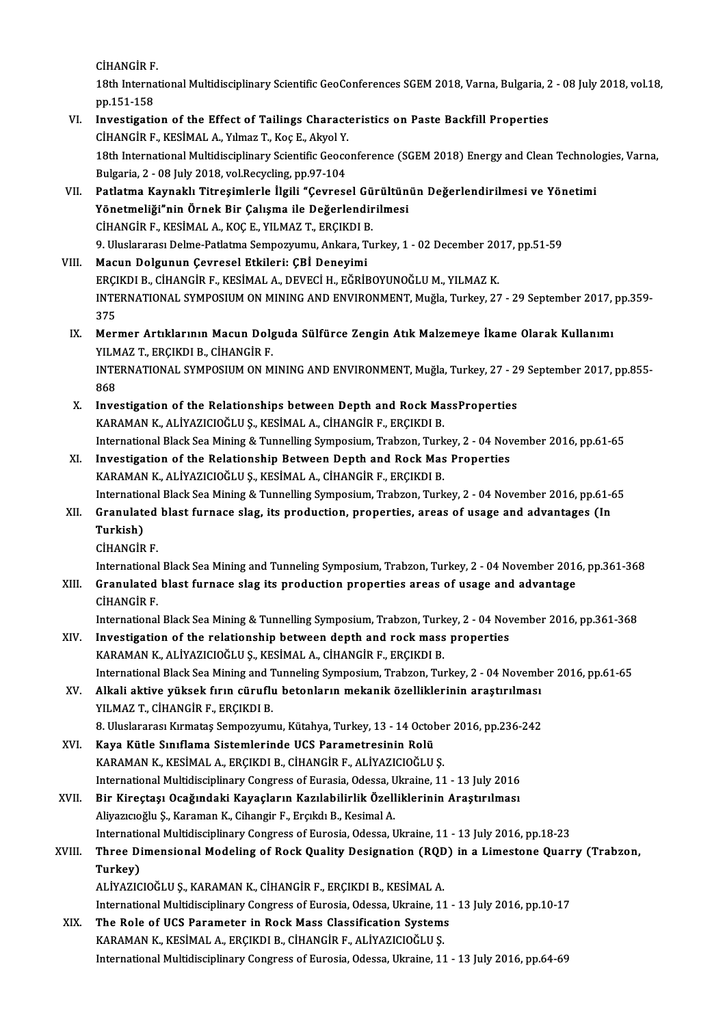CİHANGİRF.

CİHANGİR F.<br>18th International Multidisciplinary Scientific GeoConferences SGEM 2018, Varna, Bulgaria, 2 - 08 July 2018, vol.18,<br>nn 151 159 CİHANGİR F.<br>18th Interna<br>pp.151-158<br>Investisatis 18th International Multidisciplinary Scientific GeoConferences SGEM 2018, Varna, Bulgaria, 2<br>pp.151-158<br>VI. Investigation of the Effect of Tailings Characteristics on Paste Backfill Properties<br>CHANGIB E KESIMALA VIImar T.

## pp.151-158<br>Investigation of the Effect of Tailings Charact<br>CİHANGİR F., KESİMAL A., Yılmaz T., Koç E., Akyol Y.<br>19th International Multidisciplinary Scientifis Ceose Investigation of the Effect of Tailings Characteristics on Paste Backfill Properties<br>CİHANGİR F., KESİMAL A., Yılmaz T., Koç E., Akyol Y.<br>18th International Multidisciplinary Scientific Geoconference (SGEM 2018) Energy and CİHANGİR F., KESİMAL A., Yılmaz T., Koç E., Akyol Y.<br>18th International Multidisciplinary Scientific Geoco<br>Bulgaria, 2 - 08 July 2018, vol.Recycling, pp.97-104<br>Patlatma Kaynaklı Titresimlerle İlgili "Cayress 18th International Multidisciplinary Scientific Geoconference (SGEM 2018) Energy and Clean Technolo<br>Bulgaria, 2 - 08 July 2018, vol.Recycling, pp.97-104<br>VII. Patlatma Kaynaklı Titreşimlerle İlgili "Çevresel Gürültünün Değe

- Bulgaria, 2 08 July 2018, vol.Recycling, pp.97-104<br>Patlatma Kaynaklı Titreşimlerle İlgili "Çevresel Gürültünün Değerlendirilmesi ve Yönetimi<br>Yönetmeliği"nin Örnek Bir Calısma ile Değerlendirilmesi CİHANGİRF.,KESİMALA.,KOÇE.,YILMAZ T.,ERÇIKDIB. 9. Uluslararası Delme-Patlatma Sempozyumu, Ankara, Turkey, 1 - 02 December 2017, pp.51-59
- VIII. Macun Dolgunun Çevresel Etkileri: ÇBİ Deneyimi ERÇIKDI B., CİHANGİR F., KESİMAL A., DEVECİ H., EĞRİBOYUNOĞLU M., YILMAZ K. Macun Dolgunun Çevresel Etkileri: ÇBİ Deneyimi<br>ERÇIKDI B., CİHANGİR F., KESİMAL A., DEVECİ H., EĞRİBOYUNOĞLU M., YILMAZ K.<br>INTERNATIONAL SYMPOSIUM ON MINING AND ENVIRONMENT, Muğla, Turkey, 27 - 29 September 2017, pp.359-<br>2 ERÇI<br>INTE<br>375<br>Mari INTERNATIONAL SYMPOSIUM ON MINING AND ENVIRONMENT, Muğla, Turkey, 27 - 29 September 2017,<br>375<br>IX. Mermer Artıklarının Macun Dolguda Sülfürce Zengin Atık Malzemeye İkame Olarak Kullanımı<br>VII MAZ T. ERCIKDI B. CİHANCİR E
	- 375<br>IX. Mermer Artıklarının Macun Dolguda Sülfürce Zengin Atık Malzemeye İkame Olarak Kullanımı INTERNATIONAL SYMPOSIUM ON MINING AND ENVIRONMENT, Muğla, Turkey, 27 - 29 September 2017, pp.855-<br>868 YILMAZ T., ERÇIKDI B., CİHANGİR F. INTERNATIONAL SYMPOSIUM ON MINING AND ENVIRONMENT, Muğla, Turkey, 27 - 2<br>868<br>X. Investigation of the Relationships between Depth and Rock MassProperties<br>XARAMAN K. ALIXAZICIOČLUS KESIMAL A CHANCIP E ERCIKDLE
	- 868<br>Investigation of the Relationships between Depth and Rock Ma<br>KARAMAN K., ALİYAZICIOĞLU Ş., KESİMAL A., CİHANGİR F., ERÇIKDI B.<br>International Black See Mining & Tunnelling Sumnesium Trabgen, Turk KARAMAN K., ALİYAZICIOĞLU Ş., KESİMAL A., CİHANGİR F., ERÇIKDI B.<br>International Black Sea Mining & Tunnelling Symposium, Trabzon, Turkey, 2 - 04 November 2016, pp.61-65 KARAMAN K., ALIYAZICIOĞLU Ş., KESIMAL A., CİHANGİR F., ERÇIKDI B.<br>International Black Sea Mining & Tunnelling Symposium, Trabzon, Turkey, 2 - 04 Nov<br>XI. Investigation of the Relationship Between Depth and Rock Mas Properti

## International Black Sea Mining & Tunnelling Symposium, Trabzon, Turk<br>Investigation of the Relationship Between Depth and Rock Mas<br>KARAMAN K., ALİYAZICIOĞLU Ş., KESİMAL A., CİHANGİR F., ERÇIKDI B.<br>International Black Sea Mi Investigation of the Relationship Between Depth and Rock Mas Properties<br>KARAMAN K., ALİYAZICIOĞLU Ş., KESİMAL A., CİHANGİR F., ERÇIKDI B.<br>International Black Sea Mining & Tunnelling Symposium, Trabzon, Turkey, 2 - 04 Novem KARAMAN K., ALİYAZICIOĞLU Ş., KESİMAL A., CİHANGİR F., ERÇIKDI B.<br>11. International Black Sea Mining & Tunnelling Symposium, Trabzon, Turkey, 2 - 04 November 2016, pp.61-6<br>21. Granulated blast furnace slag, its production,

## Internatio<br>Granulato<br>Turkish)<br>Ciu Ancip Granulated blast furnace slag, its production, properties, areas of usage and advantages (In Turkish)<br>Turkish)<br>CİHANGİR F. Turkish)<br>CİHANGİR F.<br>International Black Sea Mining and Tunneling Symposium, Trabzon, Turkey, 2 - 04 November 2016, pp.361-368<br>Cranulated blast furnase alas its production proporties areas of usage and advantase.

## XIII. Granulated blast furnace slag its production properties areas of usage and advantage CIHANGIR F. International<br>Granulated<br>CİHANGİR F.<br>International Granulated blast furnace slag its production properties areas of usage and advantage<br>CİHANGİR F.<br>International Black Sea Mining & Tunnelling Symposium, Trabzon, Turkey, 2 - 04 November 2016, pp.361-368<br>Investigation of the

CİHANGİR F.<br>International Black Sea Mining & Tunnelling Symposium, Trabzon, Turkey, 2 - 04 Nov<br>XIV. Investigation of the relationship between depth and rock mass properties<br>XARAMAN K. ALİVAZICIQĞLUS, KESİMAL A. CİHANCİR E.

- International Black Sea Mining & Tunnelling Symposium, Trabzon, Turk<br>Investigation of the relationship between depth and rock mass<br>KARAMAN K., ALİYAZICIOĞLU Ş., KESİMAL A., CİHANGİR F., ERÇIKDI B.<br>International Black See M Investigation of the relationship between depth and rock mass properties<br>KARAMAN K., ALİYAZICIOĞLU Ş., KESİMAL A., CİHANGİR F., ERÇIKDI B.<br>International Black Sea Mining and Tunneling Symposium, Trabzon, Turkey, 2 - 04 Nov KARAMAN K., ALİYAZICIOĞLU Ş., KESİMAL A., CİHANGİR F., ERÇIKDI B.<br>International Black Sea Mining and Tunneling Symposium, Trabzon, Turkey, 2 - 04 Novemb<br>XV. Alkali aktive yüksek fırın cüruflu betonların mekanik özellikleri
- International Black Sea Mining and T<br>Alkali aktive yüksek fırın cüruflı<br>YILMAZ T., CİHANGİR F., ERÇIKDI B.<br>8. Uluslararası Kırmatas Samnazınım Alkali aktive yüksek fırın cüruflu betonların mekanik özelliklerinin araştırılması<br>YILMAZ T., CİHANGİR F., ERÇIKDI B.<br>8. Uluslararası Kırmataş Sempozyumu, Kütahya, Turkey, 13 - 14 October 2016, pp.236-242<br>Kaya Kütle Sınıfl YILMAZ T., CİHANGİR F., ERÇIKDI B.<br>8. Uluslararası Kırmataş Sempozyumu, Kütahya, Turkey, 13 - 14 Octob<br>XVI. Kaya Kütle Sınıflama Sistemlerinde UCS Parametresinin Rolü<br>XARAMAN K. KESİMAL A. ERÇIKDI R. CİHANCİR E. ALİYAZICIQ
	-
- 8. Uluslararası Kırmataş Sempozyumu, Kütahya, Turkey, 13 14 Octobe<br>Kaya Kütle Sınıflama Sistemlerinde UCS Parametresinin Rolü<br>KARAMAN K., KESİMAL A., ERÇIKDI B., CİHANGİR F., ALİYAZICIOĞLU Ş.<br>International Multidissinlin Kaya Kütle Sınıflama Sistemlerinde UCS Parametresinin Rolü<br>KARAMAN K., KESİMAL A., ERÇIKDI B., CİHANGİR F., ALİYAZICIOĞLU Ş.<br>International Multidisciplinary Congress of Eurasia, Odessa, Ukraine, 11 - 13 July 2016<br>Bir Kines KARAMAN K., KESİMAL A., ERÇIKDI B., CİHANGİR F., ALİYAZICIOĞLU Ş.<br>International Multidisciplinary Congress of Eurasia, Odessa, Ukraine, 11 - 13 July 2016<br>XVII. Bir Kireçtaşı Ocağındaki Kayaçların Kazılabilirlik Özellikleri
- International Multidisciplinary Congress of Eurasia, Odessa, U<br>Bir Kireçtaşı Ocağındaki Kayaçların Kazılabilirlik Özell<br>Aliyazıcıoğlu Ş., Karaman K., Cihangir F., Erçıkdı B., Kesimal A.<br>International Multidisciplinary Cong Bir Kireçtaşı Ocağındaki Kayaçların Kazılabilirlik Özelliklerinin Araştırılması<br>Aliyazıcıoğlu Ş., Karaman K., Cihangir F., Erçıkdı B., Kesimal A.<br>International Multidisciplinary Congress of Eurosia, Odessa, Ukraine, 11 - 1

# Aliyazıcıoğlu Ş., Karaman K., Cihangir F., Erçıkdı B., Kesimal A.<br>International Multidisciplinary Congress of Eurosia, Odessa, Ukraine, 11 - 13 July 2016, pp.18-23<br>XVIII. Three Dimensional Modeling of Rock Quality Desi Internation<br>Three Di<br>Turkey)<br>ALIVAZIC

- ALİYAZICIOĞLUŞ., KARAMAN K., CİHANGİR F., ERÇIKDI B., KESİMAL A. Turkey)<br>ALİYAZICIOĞLU Ş., KARAMAN K., CİHANGİR F., ERÇIKDI B., KESİMAL A.<br>International Multidisciplinary Congress of Eurosia, Odessa, Ukraine, 11 - 13 July 2016, pp.10-17<br>The Bole of UCS Baramatar in Boek Mass Classifisat ALIYAZICIOĞLU Ş., KARAMAN K., CIHANGIR F., ERÇIKDI B., KESIMAL A.<br>International Multidisciplinary Congress of Eurosia, Odessa, Ukraine, 11<br>XIX. The Role of UCS Parameter in Rock Mass Classification Systems<br>KARAMAN K. KESIM
- International Multidisciplinary Congress of Eurosia, Odessa, Ukraine, 11<br>The Role of UCS Parameter in Rock Mass Classification System:<br>KARAMAN K., KESİMAL A., ERÇIKDI B., CİHANGİR F., ALİYAZICIOĞLU Ş.<br>International Multidi The Role of UCS Parameter in Rock Mass Classification Systems<br>KARAMAN K., KESİMAL A., ERÇIKDI B., CİHANGİR F., ALİYAZICIOĞLU Ş.<br>International Multidisciplinary Congress of Eurosia, Odessa, Ukraine, 11 - 13 July 2016, pp.64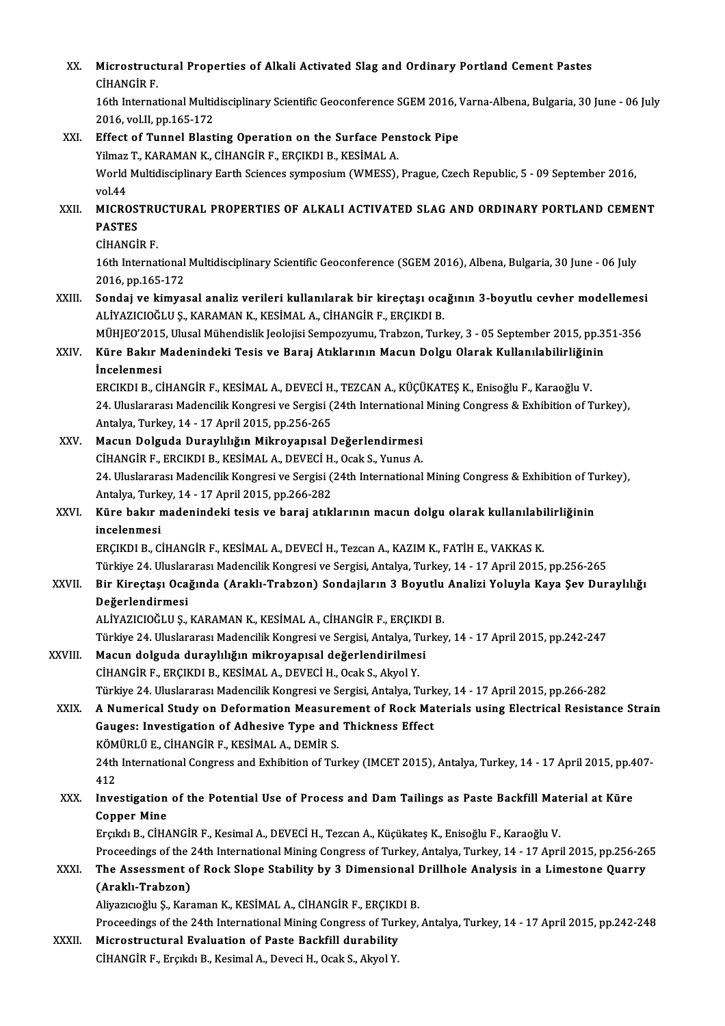| XX.     | Microstructural Properties of Alkali Activated Slag and Ordinary Portland Cement Pastes                            |
|---------|--------------------------------------------------------------------------------------------------------------------|
|         | <b>CİHANGİR F.</b>                                                                                                 |
|         | 16th International Multidisciplinary Scientific Geoconference SGEM 2016, Varna-Albena, Bulgaria, 30 June - 06 July |
|         | 2016, vol.II, pp.165-172                                                                                           |
| XXI.    | Effect of Tunnel Blasting Operation on the Surface Penstock Pipe                                                   |
|         | Yilmaz T., KARAMAN K., CİHANGİR F., ERÇIKDI B., KESİMAL A.                                                         |
|         | World Multidisciplinary Earth Sciences symposium (WMESS), Prague, Czech Republic, 5 - 09 September 2016,           |
|         | vol 44                                                                                                             |
| XXII.   | MICROSTRUCTURAL PROPERTIES OF ALKALI ACTIVATED SLAG AND ORDINARY PORTLAND CEMENT                                   |
|         | <b>PASTES</b>                                                                                                      |
|         | <b>CİHANGİR F</b>                                                                                                  |
|         | 16th International Multidisciplinary Scientific Geoconference (SGEM 2016), Albena, Bulgaria, 30 June - 06 July     |
|         | 2016, pp 165-172                                                                                                   |
| XXIII.  | Sondaj ve kimyasal analiz verileri kullanılarak bir kireçtaşı ocağının 3-boyutlu cevher modellemesi                |
|         | ALİYAZICIOĞLU Ş., KARAMAN K., KESİMAL A., CİHANGİR F., ERÇIKDI B.                                                  |
|         | MÜHJEO'2015, Ulusal Mühendislik Jeolojisi Sempozyumu, Trabzon, Turkey, 3 - 05 September 2015, pp.351-356           |
| XXIV.   | Küre Bakır Madenindeki Tesis ve Baraj Atıklarının Macun Dolgu Olarak Kullanılabilirliğinin                         |
|         | <i>incelenmesi</i>                                                                                                 |
|         | ERCIKDI B., CİHANGİR F., KESİMAL A., DEVECİ H., TEZCAN A., KÜÇÜKATEŞ K., Enisoğlu F., Karaoğlu V.                  |
|         | 24. Uluslararası Madencilik Kongresi ve Sergisi (24th International Mining Congress & Exhibition of Turkey),       |
|         | Antalya, Turkey, 14 - 17 April 2015, pp.256-265                                                                    |
| XXV.    | Macun Dolguda Duraylılığın Mikroyapısal Değerlendirmesi                                                            |
|         | CİHANGİR F., ERCIKDI B., KESİMAL A., DEVECİ H., Ocak S., Yunus A.                                                  |
|         | 24. Uluslararası Madencilik Kongresi ve Sergisi (24th International Mining Congress & Exhibition of Turkey),       |
|         | Antalya, Turkey, 14 - 17 April 2015, pp.266-282                                                                    |
| XXVI.   | Küre bakır madenindeki tesis ve baraj atıklarının macun dolgu olarak kullanılabilirliğinin<br>incelenmesi          |
|         | ERÇIKDI B., CİHANGİR F., KESİMAL A., DEVECİ H., Tezcan A., KAZIM K., FATİH E., VAKKAS K.                           |
|         | Türkiye 24. Uluslararası Madencilik Kongresi ve Sergisi, Antalya, Turkey, 14 - 17 April 2015, pp.256-265           |
| XXVII.  | Bir Kireçtaşı Ocağında (Araklı-Trabzon) Sondajların 3 Boyutlu Analizi Yoluyla Kaya Şev Duraylılığı                 |
|         | Değerlendirmesi                                                                                                    |
|         | ALİYAZICIOĞLU Ş., KARAMAN K., KESİMAL A., CİHANGİR F., ERÇIKDI B.                                                  |
|         | Türkiye 24. Uluslararası Madencilik Kongresi ve Sergisi, Antalya, Turkey, 14 - 17 April 2015, pp.242-247           |
| XXVIII. | Macun dolguda duraylılığın mikroyapısal değerlendirilmesi                                                          |
|         | CİHANGİR F., ERÇIKDI B., KESİMAL A., DEVECİ H., Ocak S., Akyol Y.                                                  |
|         | Türkiye 24. Uluslararası Madencilik Kongresi ve Sergisi, Antalya, Turkey, 14 - 17 April 2015, pp.266-282           |
| XXIX.   | A Numerical Study on Deformation Measurement of Rock Materials using Electrical Resistance Strain                  |
|         | Gauges: Investigation of Adhesive Type and Thickness Effect                                                        |
|         | KÖMÜRLÜ E., CİHANGİR F., KESİMAL A., DEMİR S.                                                                      |
|         | 24th International Congress and Exhibition of Turkey (IMCET 2015), Antalya, Turkey, 14 - 17 April 2015, pp.407-    |
|         | 412                                                                                                                |
| XXX.    | Investigation of the Potential Use of Process and Dam Tailings as Paste Backfill Material at Küre                  |
|         | <b>Copper Mine</b>                                                                                                 |
|         | Erçıkdı B., CİHANGİR F., Kesimal A., DEVECİ H., Tezcan A., Küçükateş K., Enisoğlu F., Karaoğlu V.                  |
|         | Proceedings of the 24th International Mining Congress of Turkey, Antalya, Turkey, 14 - 17 April 2015, pp.256-265   |
| XXXI.   | The Assessment of Rock Slope Stability by 3 Dimensional Drillhole Analysis in a Limestone Quarry                   |
|         | (Araklı-Trabzon)                                                                                                   |
|         | Aliyazıcıoğlu Ş., Karaman K., KESİMAL A., CİHANGİR F., ERÇIKDI B.                                                  |
|         | Proceedings of the 24th International Mining Congress of Turkey, Antalya, Turkey, 14 - 17 April 2015, pp.242-248   |
| XXXII.  | Microstructural Evaluation of Paste Backfill durability                                                            |
|         | CİHANGİR F., Erçıkdı B., Kesimal A., Deveci H., Ocak S., Akyol Y.                                                  |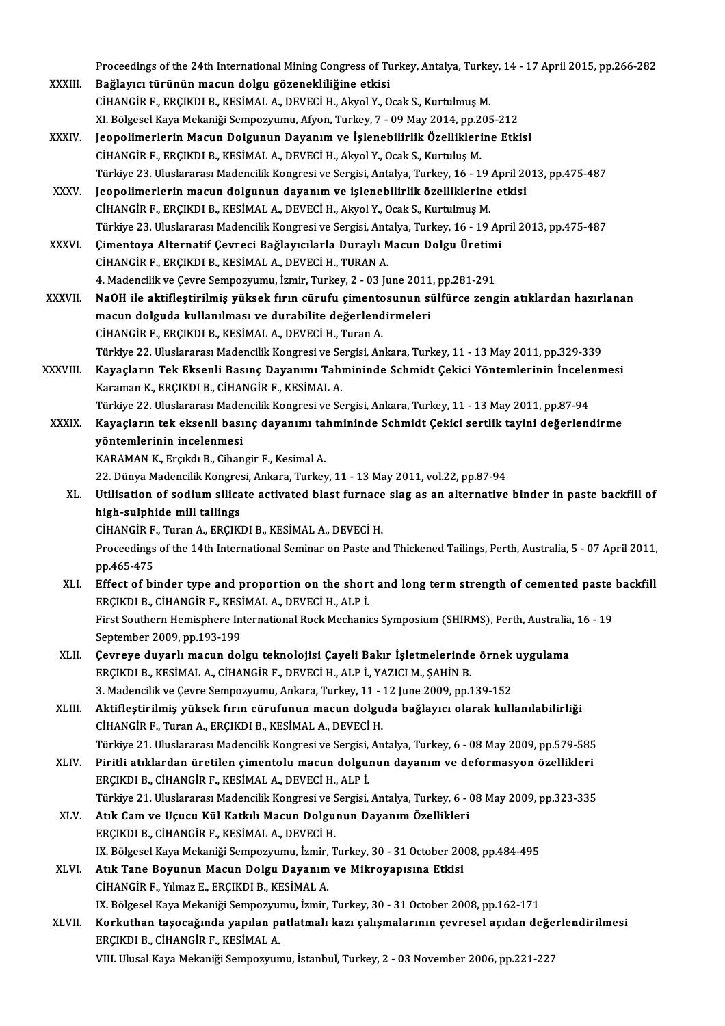Proceedings of the 24th International Mining Congress of Turkey, Antalya, Turkey, 14 - 17 April 2015, pp.266-282<br>Reğlawa: türünün masun delgu görenekliliğine etkişi

- Proceedings of the 24th International Mining Congress of Tu<br>XXXIII. Bağlayıcı türünün macun dolgu gözenekliliğine etkisi<br>CİHANCİP E ERCIKDI B. KESİMAL A DEVECİ H. Alayal X. O Proceedings of the 24th International Mining Congress of Turkey, Antalya, Turke<br>Bağlayıcı türünün macun dolgu gözenekliliğine etkisi<br>CİHANGİR F., ERÇIKDI B., KESİMAL A., DEVECİ H., Akyol Y., Ocak S., Kurtulmuş M.<br>Y. Bölges Bağlayıcı türünün macun dolgu gözenekliliğine etkisi<br>CİHANGİR F., ERÇIKDI B., KESİMAL A., DEVECİ H., Akyol Y., Ocak S., Kurtulmuş M.<br>XI. Bölgesel Kaya Mekaniği Sempozyumu, Afyon, Turkey, 7 - 09 May 2014, pp.205-212
- XXXIV. Jeopolimerlerin Macun Dolgunun Dayanım ve İşlenebilirlik Özelliklerine Etkisi CİHANGİR F., ERÇIKDI B., KESİMAL A., DEVECİ H., Akyol Y., Ocak S., Kurtuluş M. Jeopolimerlerin Macun Dolgunun Dayanım ve İşlenebilirlik Özelliklerine Etkisi<br>CİHANGİR F., ERÇIKDI B., KESİMAL A., DEVECİ H., Akyol Y., Ocak S., Kurtuluş M.<br>Türkiye 23. Uluslararası Madencilik Kongresi ve Sergisi, Antalya, CİHANGİR F., ERÇIKDI B., KESİMAL A., DEVECİ H., Akyol Y., Ocak S., Kurtuluş M.<br>Türkiye 23. Uluslararası Madencilik Kongresi ve Sergisi, Antalya, Turkey, 16 - 19 April 20<br>XXXV. Ieopolimerlerin macun dolgunun dayanım ve işle
- Türkiye 23. Uluslararası Madencilik Kongresi ve Sergisi, Antalya, Turkey, 16 19<br>Jeopolimerlerin macun dolgunun dayanım ve işlenebilirlik özelliklerine<br>CİHANGİR F., ERÇIKDI B., KESİMAL A., DEVECİ H., Akyol Y., Ocak S., Ku Jeopolimerlerin macun dolgunun dayanım ve işlenebilirlik özelliklerine etkisi<br>CİHANGİR F., ERÇIKDI B., KESİMAL A., DEVECİ H., Akyol Y., Ocak S., Kurtulmuş M.<br>Türkiye 23. Uluslararası Madencilik Kongresi ve Sergisi, Antalya CİHANGİR F., ERÇIKDI B., KESİMAL A., DEVECİ H., Akyol Y., Ocak S., Kurtulmuş M.<br>Türkiye 23. Uluslararası Madencilik Kongresi ve Sergisi, Antalya, Turkey, 16 - 19 Ap<br>XXXVI. Cimentoya Alternatif Çevreci Bağlayıcılarla Durayl
- Türkiye 23. Uluslararası Madencilik Kongresi ve Sergisi, Ant.<br>Çimentoya Alternatif Çevreci Bağlayıcılarla Duraylı M<br>CİHANGİR F., ERÇIKDI B., KESİMAL A., DEVECİ H., TURAN A.<br>4. Madencilik ve Cevre Semnezyumu, İsmir Turkev, 6. Gimentoya Alternatif Çevreci Bağlayıcılarla Duraylı Macun Dolgu Üretimi<br>CİHANGİR F., ERÇIKDI B., KESİMAL A., DEVECİ H., TURAN A.<br>4. Madencilik ve Çevre Sempozyumu, İzmir, Turkey, 2 - 03 June 2011, pp.281-291 CİHANGİR F., ERÇIKDI B., KESİMAL A., DEVECİ H., TURAN A.<br>4. Madencilik ve Çevre Sempozyumu, İzmir, Turkey, 2 - 03 June 2011, pp.281-291<br>XXXVII. NaOH ile aktifleştirilmiş yüksek fırın cürufu çimentosunun sülfürce zengin atı
- 4. Madencilik ve Çevre Sempozyumu, İzmir, Turkey, 2 03 June 2011<br>NaOH ile aktifleştirilmiş yüksek fırın cürufu çimentosunun sı<br>macun dolguda kullanılması ve durabilite değerlendirmeleri<br>CiyANCİR E ERCIKDI R. KESİMAL A DE NaOH ile aktifleştirilmiş yüksek fırın cürufu çimento<br>macun dolguda kullanılması ve durabilite değerlend<br>CİHANGİR F., ERÇIKDI B., KESİMAL A., DEVECİ H., Turan A.<br>Türkiye 22. Uluslararası Madansilik Kanarası ve Sarsisi, An macun dolguda kullanılması ve durabilite değerlendirmeleri<br>CİHANGİR F., ERÇIKDI B., KESİMAL A., DEVECİ H., Turan A.<br>Türkiye 22. Uluslararası Madencilik Kongresi ve Sergisi, Ankara, Turkey, 11 - 13 May 2011, pp.329-339<br>Kava
- CİHANGİR F., ERÇIKDI B., KESİMAL A., DEVECİ H., Turan A.<br>Türkiye 22. Uluslararası Madencilik Kongresi ve Sergisi, Ankara, Turkey, 11 13 May 2011, pp.329-339<br>XXXVIII. Kayaçların Tek Eksenli Basınç Dayanımı Tahmininde Schm Türkiye 22. Uluslararası Madencilik Kongresi ve Se<br>**Kayaçların Tek Eksenli Basınç Dayanımı Tah**ı<br>Karaman K., ERÇIKDI B., CİHANGİR F., KESİMAL A.<br>Türkiye 22. Uluslararası Madensilik Kongresi ve Se Kayaçların Tek Eksenli Basınç Dayanımı Tahmininde Schmidt Çekici Yöntemlerinin İncele:<br>Karaman K., ERÇIKDI B., CİHANGİR F., KESİMAL A.<br>Türkiye 22. Uluslararası Madencilik Kongresi ve Sergisi, Ankara, Turkey, 11 - 13 May 20 Karaman K., ERÇIKDI B., CİHANGİR F., KESİMAL A.<br>Türkiye 22. Uluslararası Madencilik Kongresi ve Sergisi, Ankara, Turkey, 11 - 13 May 2011, pp.87-94<br>XXXIX. Kayaçların tek eksenli basınç dayanımı tahmininde Schmidt Çekic
	- Türkiye 22. Uluslararası Made<br>Kayaçların tek eksenli bası<br>yöntemlerinin incelenmesi<br>KARAMAN K. Erekdı B. Giban Kayaçların tek eksenli basınç dayanımı tahmininde Schmidt Çekici sertlik tayini değerlendirme<br>yöntemlerinin incelenmesi<br>KARAMAN K., Erçıkdı B., Cihangir F., Kesimal A. yöntemlerinin incelenmesi<br>KARAMAN K., Erçıkdı B., Cihangir F., Kesimal A.<br>22. Dünya Madencilik Kongresi, Ankara, Turkey, 11 - 13 May 2011, vol.22, pp.87-94<br>Htilisation of sodium silisate estivated blast funnese slag es en

KARAMAN K., Erçıkdı B., Cihangir F., Kesimal A.<br>22. Dünya Madencilik Kongresi, Ankara, Turkey, 11 - 13 May 2011, vol.22, pp.87-94<br>XL. Utilisation of sodium silicate activated blast furnace slag as an alternative binder in 22. Dünya Madencilik Kongres<br>Utilisation of sodium silica<br>high-sulphide mill tailings<br>CiuANCiB E Turan A EBCIK Utilisation of sodium silicate activated blast furnace<br>high-sulphide mill tailings<br>CİHANGİR F., Turan A., ERÇIKDI B., KESİMAL A., DEVECİ H.<br>Preseedings of the 14th International Seminer on Baste an

high-sulphide mill tailings<br>CİHANGİR F., Turan A., ERÇIKDI B., KESİMAL A., DEVECİ H.<br>Proceedings of the 14th International Seminar on Paste and Thickened Tailings, Perth, Australia, 5 - 07 April 2011,<br>nn 465 475 CİHANGİR F.<br>Proceedings<br>pp.465-475<br>Effect of bi Proceedings of the 14th International Seminar on Paste and Thickened Tailings, Perth, Australia, 5 - 07 April 2011<br>pp.465-475<br>XLI. Effect of binder type and proportion on the short and long term strength of cemented paste

- pp.465-475<br>XLI. Effect of binder type and proportion on the short and long term strength of cemented paste backfill<br>ERCIKDI B., CİHANGİR F., KESİMAL A., DEVECİ H., ALP İ. Effect of binder type and proportion on the short and long term strength of cemented paste<br>ERÇIKDI B., CİHANGİR F., KESİMAL A., DEVECİ H., ALP İ.<br>First Southern Hemisphere International Rock Mechanics Symposium (SHIRMS), P ERÇIKDI B., CİHANGİR F., KESİ<br>First Southern Hemisphere In<br>September 2009, pp.193-199<br>Caunaua duuanlı magun dal First Southern Hemisphere International Rock Mechanics Symposium (SHIRMS), Perth, Australia<br>September 2009, pp.193-199<br>XLII. Cevreye duyarlı macun dolgu teknolojisi Çayeli Bakır İşletmelerinde örnek uygulama
- September 2009, pp.193-199<br>Çevreye duyarlı macun dolgu teknolojisi Çayeli Bakır İşletmelerinde örnek<br>ERÇIKDI B., KESİMAL A., CİHANGİR F., DEVECİ H., ALP İ., YAZICI M., ŞAHİN B.<br>3. Madencilik ve Çevre Sempozyumu, Ankara, Tu Cevreye duyarlı macun dolgu teknolojisi Çayeli Bakır İşletmelerinde örnek uygulama
- XLIII. Aktifleştirilmiş yüksek fırın cürufunun macun dolguda bağlayıcı olarak kullanılabilirliği CİHANGİRF.,TuranA.,ERÇIKDIB.,KESİMALA.,DEVECİH. Aktifleştirilmiş yüksek fırın cürufunun macun dolguda bağlayıcı olarak kullanılabilirliği<br>CİHANGİR F., Turan A., ERÇIKDI B., KESİMAL A., DEVECİ H.<br>Türkiye 21. Uluslararası Madencilik Kongresi ve Sergisi, Antalya, Turkey, 6 CİHANGİR F., Turan A., ERÇIKDI B., KESİMAL A., DEVECİ H.<br>Türkiye 21. Uluslararası Madencilik Kongresi ve Sergisi, Antalya, Turkey, 6 - 08 May 2009, pp.579-585<br>XLIV. Piritli atıklardan üretilen çimentolu macun dolgunun daya
- Piritli atıklardan üretilen çimentolu macun dolgunun dayanım ve deformasyon özellikleri<br>ERÇIKDI B., CİHANGİR F., KESİMAL A., DEVECİ H., ALP İ. Piritli atıklardan üretilen çimentolu macun dolgunun dayanım ve deformasyon özellikleri<br>ERÇIKDI B., CİHANGİR F., KESİMAL A., DEVECİ H., ALP İ.<br>Türkiye 21. Uluslararası Madencilik Kongresi ve Sergisi, Antalya, Turkey, 6 - 0 ERÇIKDI B., CİHANGİR F., KESİMAL A., DEVECİ H., ALP İ.<br>Türkiye 21. Uluslararası Madencilik Kongresi ve Sergisi, Antalya, Turkey, 6 - (XLV.)<br>XLV. Atık Cam ve Uçucu Kül Katkılı Macun Dolgunun Dayanım Özellikleri
- Türkiye 21. Uluslararası Madencilik Kongresi ve S<br>Atık Cam ve Uçucu Kül Katkılı Macun Dolgu:<br>ERÇIKDI B., CİHANGİR F., KESİMAL A., DEVECİ H.<br>IV. Bölgesel Kave Mekaniği Somnozuumu, İsmir T Atık Cam ve Uçucu Kül Katkılı Macun Dolgunun Dayanım Özellikleri<br>ERÇIKDI B., CİHANGİR F., KESİMAL A., DEVECİ H.<br>IX. Bölgesel Kaya Mekaniği Sempozyumu, İzmir, Turkey, 30 - 31 October 2008, pp.484-495
- XLVI. Atık Tane Boyunun Macun Dolgu Dayanım ve Mikroyapısına Etkisi CİHANGİRF.,YılmazE.,ERÇIKDIB.,KESİMALA. Atık Tane Boyunun Macun Dolgu Dayanım ve Mikroyapısına Etkisi<br>CİHANGİR F., Yılmaz E., ERÇIKDI B., KESİMAL A.<br>IX. Bölgesel Kaya Mekaniği Sempozyumu, İzmir, Turkey, 30 - 31 October 2008, pp.162-171<br>Karluthan tasasağında yanı
- XLVII. Korkuthan taşocağında yapılan patlatmalı kazı çalışmalarının çevresel açıdan değerlendirilmesi<br>ERÇIKDI B., CİHANGİR F., KESİMAL A. IX. Bölgesel Kaya Mekaniği Sempozyu<br><mark>Korkuthan taşocağında yapılan p</mark>:<br>ERÇIKDI B., CİHANGİR F., KESİMAL A.<br>VIII. Ulugal Yaya Makaniği Semporuyu

VIII. Ulusal Kaya Mekaniği Sempozyumu, İstanbul, Turkey, 2 - 03 November 2006, pp.221-227